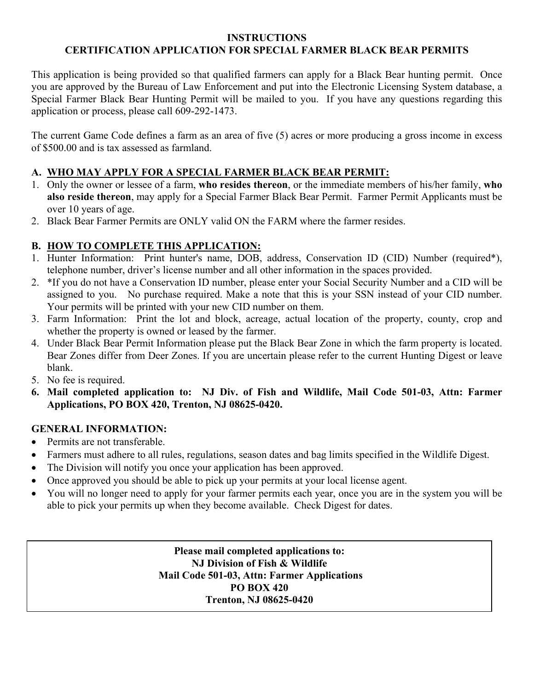## **INSTRUCTIONS CERTIFICATION APPLICATION FOR SPECIAL FARMER BLACK BEAR PERMITS**

This application is being provided so that qualified farmers can apply for a Black Bear hunting permit. Once you are approved by the Bureau of Law Enforcement and put into the Electronic Licensing System database, a Special Farmer Black Bear Hunting Permit will be mailed to you. If you have any questions regarding this application or process, please call 609-292-1473.

The current Game Code defines a farm as an area of five (5) acres or more producing a gross income in excess of \$500.00 and is tax assessed as farmland.

## **A. WHO MAY APPLY FOR A SPECIAL FARMER BLACK BEAR PERMIT:**

- 1. Only the owner or lessee of a farm, **who resides thereon**, or the immediate members of his/her family, **who also reside thereon**, may apply for a Special Farmer Black Bear Permit. Farmer Permit Applicants must be over 10 years of age.
- 2. Black Bear Farmer Permits are ONLY valid ON the FARM where the farmer resides.

## **B. HOW TO COMPLETE THIS APPLICATION:**

- 1. Hunter Information: Print hunter's name, DOB, address, Conservation ID (CID) Number (required\*), telephone number, driver's license number and all other information in the spaces provided.
- 2. \*If you do not have a Conservation ID number, please enter your Social Security Number and a CID will be assigned to you. No purchase required. Make a note that this is your SSN instead of your CID number. Your permits will be printed with your new CID number on them.
- 3. Farm Information: Print the lot and block, acreage, actual location of the property, county, crop and whether the property is owned or leased by the farmer.
- 4. Under Black Bear Permit Information please put the Black Bear Zone in which the farm property is located. Bear Zones differ from Deer Zones. If you are uncertain please refer to the current Hunting Digest or leave blank.
- 5. No fee is required.
- **6. Mail completed application to: NJ Div. of Fish and Wildlife, Mail Code 501-03, Attn: Farmer Applications, PO BOX 420, Trenton, NJ 08625-0420.**

## **GENERAL INFORMATION:**

- Permits are not transferable.
- Farmers must adhere to all rules, regulations, season dates and bag limits specified in the Wildlife Digest.
- The Division will notify you once your application has been approved.
- Once approved you should be able to pick up your permits at your local license agent.
- You will no longer need to apply for your farmer permits each year, once you are in the system you will be able to pick your permits up when they become available. Check Digest for dates.

**Please mail completed applications to: NJ Division of Fish & Wildlife Mail Code 501-03, Attn: Farmer Applications PO BOX 420 Trenton, NJ 08625-0420**